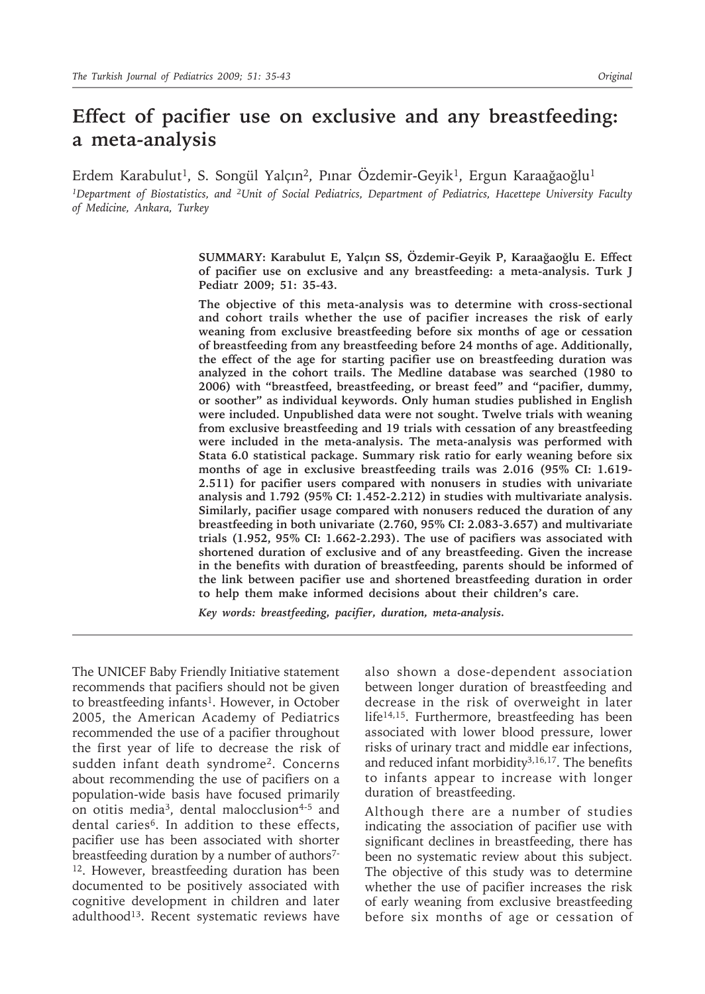# **Effect of pacifier use on exclusive and any breastfeeding: a meta-analysis**

Erdem Karabulut<sup>1</sup>, S. Songül Yalçın<sup>2</sup>, Pınar Özdemir-Geyik<sup>1</sup>, Ergun Karaağaoğlu<sup>1</sup> *1Department of Biostatistics, and 2Unit of Social Pediatrics, Department of Pediatrics, Hacettepe University Faculty of Medicine, Ankara, Turkey*

> **SUMMARY: Karabulut E, Yalçın SS, Özdemir-Geyik P, Karaağaoğlu E. Effect of pacifier use on exclusive and any breastfeeding: a meta-analysis. Turk J Pediatr 2009; 51: 35-43.**

**The objective of this meta-analysis was to determine with cross-sectional and cohort trails whether the use of pacifier increases the risk of early weaning from exclusive breastfeeding before six months of age or cessation of breastfeeding from any breastfeeding before 24 months of age. Additionally, the effect of the age for starting pacifier use on breastfeeding duration was analyzed in the cohort trails. The Medline database was searched (1980 to 2006) with "breastfeed, breastfeeding, or breast feed" and "pacifier, dummy, or soother" as individual keywords. Only human studies published in English were included. Unpublished data were not sought. Twelve trials with weaning from exclusive breastfeeding and 19 trials with cessation of any breastfeeding were included in the meta-analysis. The meta-analysis was performed with Stata 6.0 statistical package. Summary risk ratio for early weaning before six months of age in exclusive breastfeeding trails was 2.016 (95% CI: 1.619- 2.511) for pacifier users compared with nonusers in studies with univariate analysis and 1.792 (95% CI: 1.452-2.212) in studies with multivariate analysis. Similarly, pacifier usage compared with nonusers reduced the duration of any breastfeeding in both univariate (2.760, 95% CI: 2.083-3.657) and multivariate trials (1.952, 95% CI: 1.662-2.293). The use of pacifiers was associated with shortened duration of exclusive and of any breastfeeding. Given the increase in the benefits with duration of breastfeeding, parents should be informed of the link between pacifier use and shortened breastfeeding duration in order to help them make informed decisions about their children's care.**

*Key words: breastfeeding, pacifier, duration, meta-analysis.*

The UNICEF Baby Friendly Initiative statement recommends that pacifiers should not be given to breastfeeding infants<sup>1</sup>. However, in October 2005, the American Academy of Pediatrics recommended the use of a pacifier throughout the first year of life to decrease the risk of sudden infant death syndrome2. Concerns about recommending the use of pacifiers on a population-wide basis have focused primarily on otitis media<sup>3</sup>, dental malocclusion<sup>4-5</sup> and dental caries<sup>6</sup>. In addition to these effects, pacifier use has been associated with shorter breastfeeding duration by a number of authors<sup>7-</sup> 12. However, breastfeeding duration has been documented to be positively associated with cognitive development in children and later adulthood<sup>13</sup>. Recent systematic reviews have

also shown a dose-dependent association between longer duration of breastfeeding and decrease in the risk of overweight in later life14,15. Furthermore, breastfeeding has been associated with lower blood pressure, lower risks of urinary tract and middle ear infections, and reduced infant morbidity<sup>3,16,17</sup>. The benefits to infants appear to increase with longer duration of breastfeeding.

Although there are a number of studies indicating the association of pacifier use with significant declines in breastfeeding, there has been no systematic review about this subject. The objective of this study was to determine whether the use of pacifier increases the risk of early weaning from exclusive breastfeeding before six months of age or cessation of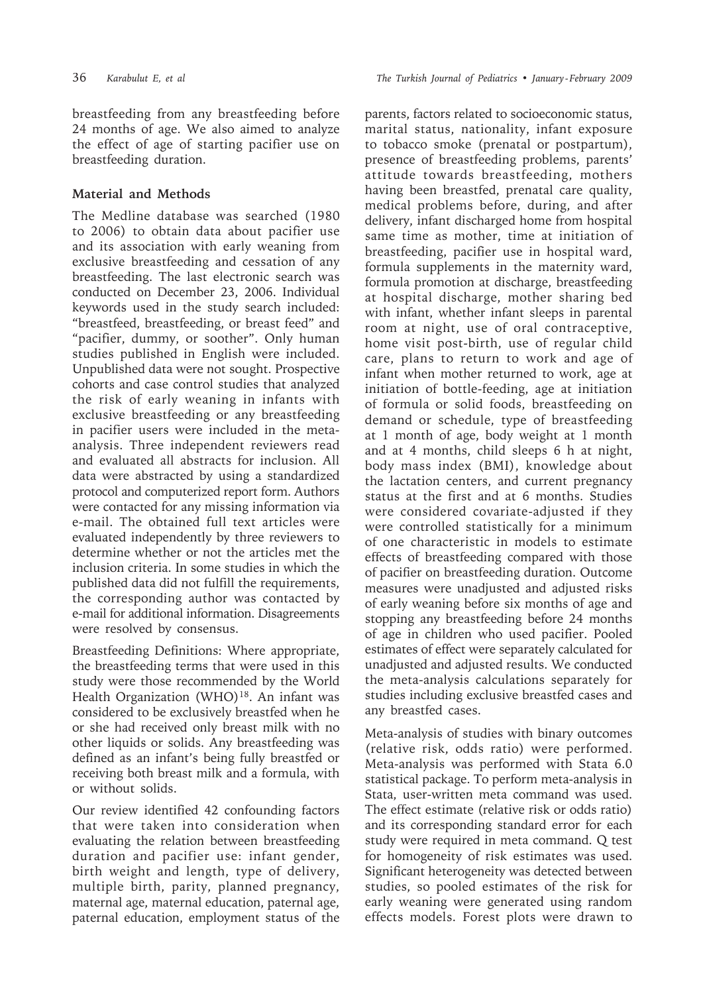breastfeeding from any breastfeeding before 24 months of age. We also aimed to analyze the effect of age of starting pacifier use on breastfeeding duration.

## **Material and Methods**

The Medline database was searched (1980 to 2006) to obtain data about pacifier use and its association with early weaning from exclusive breastfeeding and cessation of any breastfeeding. The last electronic search was conducted on December 23, 2006. Individual keywords used in the study search included: "breastfeed, breastfeeding, or breast feed" and "pacifier, dummy, or soother". Only human studies published in English were included. Unpublished data were not sought. Prospective cohorts and case control studies that analyzed the risk of early weaning in infants with exclusive breastfeeding or any breastfeeding in pacifier users were included in the metaanalysis. Three independent reviewers read and evaluated all abstracts for inclusion. All data were abstracted by using a standardized protocol and computerized report form. Authors were contacted for any missing information via e-mail. The obtained full text articles were evaluated independently by three reviewers to determine whether or not the articles met the inclusion criteria. In some studies in which the published data did not fulfill the requirements, the corresponding author was contacted by e-mail for additional information. Disagreements were resolved by consensus.

Breastfeeding Definitions: Where appropriate, the breastfeeding terms that were used in this study were those recommended by the World Health Organization (WHO)<sup>18</sup>. An infant was considered to be exclusively breastfed when he or she had received only breast milk with no other liquids or solids. Any breastfeeding was defined as an infant's being fully breastfed or receiving both breast milk and a formula, with or without solids.

Our review identified 42 confounding factors that were taken into consideration when evaluating the relation between breastfeeding duration and pacifier use: infant gender, birth weight and length, type of delivery, multiple birth, parity, planned pregnancy, maternal age, maternal education, paternal age, paternal education, employment status of the

parents, factors related to socioeconomic status, marital status, nationality, infant exposure to tobacco smoke (prenatal or postpartum), presence of breastfeeding problems, parents' attitude towards breastfeeding, mothers having been breastfed, prenatal care quality, medical problems before, during, and after delivery, infant discharged home from hospital same time as mother, time at initiation of breastfeeding, pacifier use in hospital ward, formula supplements in the maternity ward, formula promotion at discharge, breastfeeding at hospital discharge, mother sharing bed with infant, whether infant sleeps in parental room at night, use of oral contraceptive, home visit post-birth, use of regular child care, plans to return to work and age of infant when mother returned to work, age at initiation of bottle-feeding, age at initiation of formula or solid foods, breastfeeding on demand or schedule, type of breastfeeding at 1 month of age, body weight at 1 month and at 4 months, child sleeps 6 h at night, body mass index (BMI), knowledge about the lactation centers, and current pregnancy status at the first and at 6 months. Studies were considered covariate-adjusted if they were controlled statistically for a minimum of one characteristic in models to estimate effects of breastfeeding compared with those of pacifier on breastfeeding duration. Outcome measures were unadjusted and adjusted risks of early weaning before six months of age and stopping any breastfeeding before 24 months of age in children who used pacifier. Pooled estimates of effect were separately calculated for unadjusted and adjusted results. We conducted the meta-analysis calculations separately for studies including exclusive breastfed cases and any breastfed cases.

Meta-analysis of studies with binary outcomes (relative risk, odds ratio) were performed. Meta-analysis was performed with Stata 6.0 statistical package. To perform meta-analysis in Stata, user-written meta command was used. The effect estimate (relative risk or odds ratio) and its corresponding standard error for each study were required in meta command. Q test for homogeneity of risk estimates was used. Significant heterogeneity was detected between studies, so pooled estimates of the risk for early weaning were generated using random effects models. Forest plots were drawn to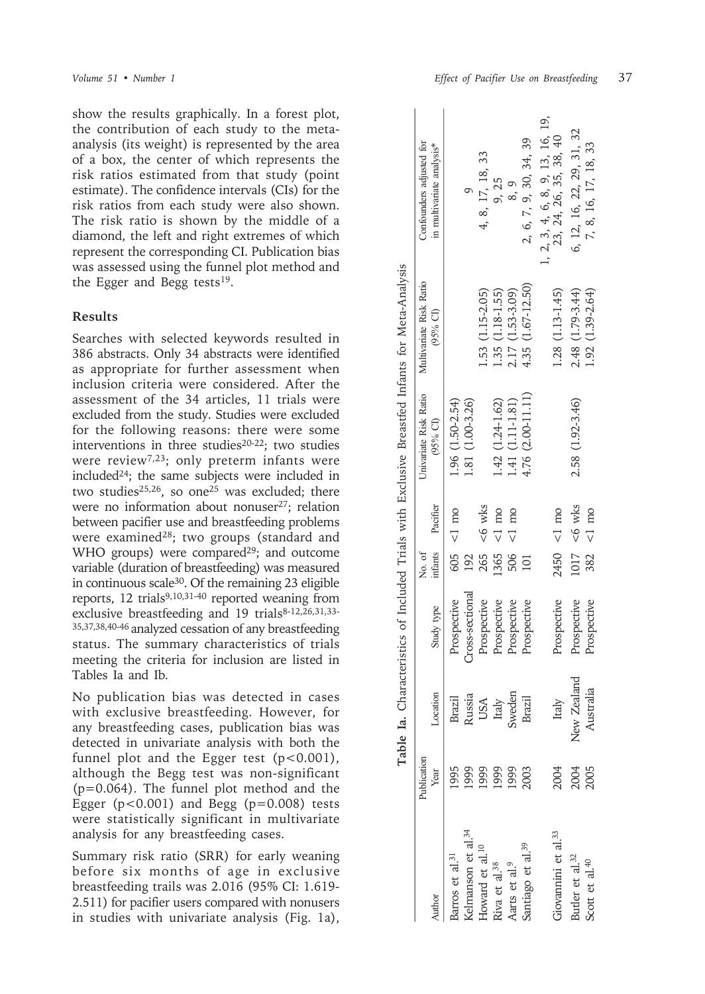show the results graphically. In a forest plot, the contribution of each study to the metaanalysis (its weight) is represented by the area of a box, the center of which represents the risk ratios estimated from that study (point estimate). The confidence intervals (CIs) for the risk ratios from each study were also shown. The risk ratio is shown by the middle of a diamond, the left and right extremes of which represent the corresponding CI. Publication bias was assessed using the funnel plot method and the Egger and Begg tests<sup>19</sup>.

#### **Results**

Searches with selected keywords resulted in 386 abstracts. Only 34 abstracts were identified as appropriate for further assessment when inclusion criteria were considered. After the assessment of the 34 articles, 11 trials were excluded from the study. Studies were excluded for the following reasons: there were some interventions in three studies $20-22$ ; two studies were review<sup>7,23</sup>; only preterm infants were included24; the same subjects were included in two studies<sup>25,26</sup>, so one<sup>25</sup> was excluded; there were no information about nonuser $27$ ; relation between pacifier use and breastfeeding problems were examined<sup>28</sup>; two groups (standard and WHO groups) were compared $29$ ; and outcome variable (duration of breastfeeding) was measured in continuous scale<sup>30</sup>. Of the remaining 23 eligible reports,  $12 \text{ trials}^{9,10,31-40}$  reported weaning from exclusive breastfeeding and  $19$  trials<sup>8-12,26,31,33-</sup> 35,37,38,40-46 analyzed cessation of any breastfeeding status. The summary characteristics of trials meeting the criteria for inclusion are listed in Tables Ia and Ib.

No publication bias was detected in cases with exclusive breastfeeding. However, for any breastfeeding cases, publication bias was detected in univariate analysis with both the funnel plot and the Egger test  $(p<0.001)$ , although the Begg test was non-significant (p=0.064). The funnel plot method and the Egger ( $p < 0.001$ ) and Begg ( $p = 0.008$ ) tests were statistically significant in multivariate analysis for any breastfeeding cases.

Summary risk ratio (SRR) for early weaning before six months of age in exclusive breastfeeding trails was 2.016 (95% CI: 1.619- 2.511) for pacifier users compared with nonusers in studies with univariate analysis (Fig. 1a),

|                                                        |                      |                                  |                 |        |                  | Table Ia. Characteristics of Included Trials with Exclusive Breastfed Infants for Meta-Analysis |                         |                                                         |
|--------------------------------------------------------|----------------------|----------------------------------|-----------------|--------|------------------|-------------------------------------------------------------------------------------------------|-------------------------|---------------------------------------------------------|
|                                                        | Publication          |                                  |                 | No. of |                  | Univariate Risk Ratio                                                                           | Multivariate Risk Ratio | Confounders adjusted for                                |
|                                                        | Year                 | Location                         | Study type      |        | infants Pacifier | (95% CI)                                                                                        | (95% CI)                | in multivariate analysis*                               |
| arros et al. <sup>31</sup>                             | .995                 | <b>Brazil</b>                    | Prospective     |        | $605$ <1 mo      | 1.96 (1.50-2.54)                                                                                |                         |                                                         |
| elmanson et al. <sup>34</sup>                          | 1999                 |                                  | Cross-sectional | 192    |                  | 1.81 (1.00-3.26)                                                                                |                         |                                                         |
| Ioward et al. <sup>10</sup>                            | 1999                 |                                  | Prospective     |        | $265 < 6$ wks    |                                                                                                 | 1.53 (1.15-2.05)        | 4, 8, 17, 18, 33                                        |
|                                                        |                      | Russia<br>USA<br>Italy<br>Sweden | Prospective     | 1365   | $1 \text{ mo}$   | $1.42(1.24-1.62)$                                                                               | 1.35 (1.18-1.55)        | 9, 25                                                   |
| Riva et al. <sup>38</sup><br>Aarts et al. <sup>9</sup> | 1999<br>1999<br>2003 |                                  | Prospective     | 506    | $1 \text{ mo}$   | 1.41 (1.11-1.81)                                                                                | 2.17 (1.53-3.09)        | 8, 9                                                    |
| santiago et al. <sup>39</sup>                          |                      | Brazil                           | Prospective     |        |                  | 4.76 (2.00-11.11)                                                                               | 4.35 (1.67-12.50)       | 2, 6, 7, 9, 30, 34, 39                                  |
| riovannini et al. <sup>33</sup>                        | 2004                 | Italy                            | Prospective     |        | $2450$ <1 mo     |                                                                                                 | 1.28 (1.13-1.45)        | 1, 2, 3, 4, 6, 8, 9, 13, 16, 19, 23, 24, 26, 35, 38, 40 |
| Butler et al. $32$                                     | 2004<br>2005         | New Zealand                      | Prospective     | 1017   | $< 6$ wks        | 2.58 (1.92-3.46)                                                                                | 2.48 (1.79-3.44)        | 6, 12, 16, 22, 29, 31, 32                               |
| Scott et al. <sup>40</sup>                             |                      | Australia                        | Prospective     | 382    | $1 \text{ mo}$   |                                                                                                 | 1.92 (1.39-2.64)        | 7, 8, 16, 17, 18, 33                                    |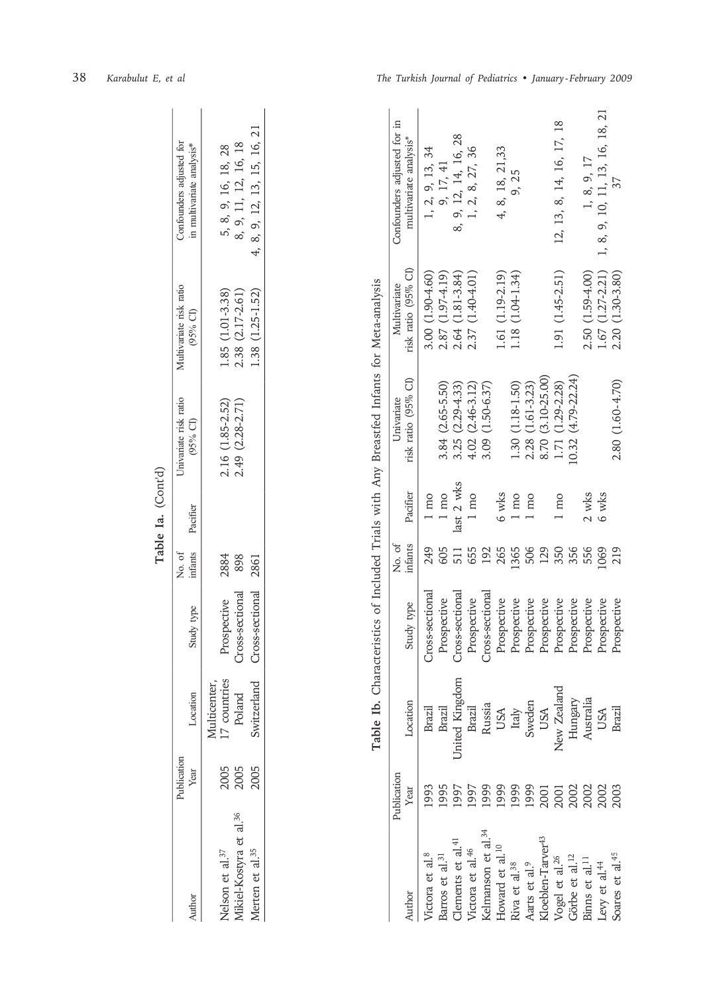Table Ib. Characteristics of Included Trials with Any Breastfed Infants for Meta-analysis **Table Ib.** Characteristics of Included Trials with Any Breastfed Infants for Meta-analysis

|                                |             |                |                 |         |                 | contract with the contract of the contract of the contract of the contract of the contract of the contract of the contract of the contract of the contract of the contract of the contract of the contract of the contract of |                                                                                              |                                 |
|--------------------------------|-------------|----------------|-----------------|---------|-----------------|-------------------------------------------------------------------------------------------------------------------------------------------------------------------------------------------------------------------------------|----------------------------------------------------------------------------------------------|---------------------------------|
|                                | Publication |                |                 | No. of  |                 | Univariate                                                                                                                                                                                                                    | Multivariate                                                                                 | Confounders adjusted for in     |
| Author                         | Year        | Location       | Study type      | infants | Pacifier        | risk ratio (95% CI)                                                                                                                                                                                                           | risk ratio (95% CI)                                                                          | multivariate analysis*          |
| 'ictora et al. <sup>8</sup>    | 1993        | Brazil         | Cross-sectional | 249     | $1 \text{ mo}$  |                                                                                                                                                                                                                               | 3.00 (1.90-4.60)                                                                             | 1, 2, 9, 13, 34                 |
| Barros et al. <sup>31</sup>    | 1995        | Brazil         | Prospective     | 605     | $1 \text{ mo}$  | 3.84 (2.65-5.50)                                                                                                                                                                                                              |                                                                                              | 9, 17, 41                       |
| lements et al. <sup>41</sup>   | 1997        | Jnited Kingdom | Cross-sectional | 511     | last 2 wks      | 3.25 (2.29-4.33)                                                                                                                                                                                                              | $\begin{array}{c} 2.87 \ (1.974.19) \\ 2.64 \ (1.81-3.84) \\ 2.37 \ (1.40-4.01) \end{array}$ | 8, 9, 12, 14, 16, 28            |
| Victora et al. <sup>46</sup>   | [997        | Brazil         | Prospective     | 655     | $1 \text{ mo}$  | $4.02(2.46-3.12)$                                                                                                                                                                                                             |                                                                                              | 1, 2, 8, 27, 36                 |
| Kelmanson et al. <sup>34</sup> | .999        | Russia         | Cross-sectional | 192     |                 | 3.09 (1.50-6.37)                                                                                                                                                                                                              |                                                                                              |                                 |
| Howard et al. <sup>10</sup>    | 1999        | USA            | Prospective     | 265     | $6$ wks         |                                                                                                                                                                                                                               | 1.61 (1.19-2.19)                                                                             | 4, 8, 18, 21,33                 |
| Riva et al. <sup>38</sup>      | 1999        | Italy          | Prospective     | 365     | $1 \text{ mo}$  | 1.30 (1.18-1.50)                                                                                                                                                                                                              | 1.18 (1.04-1.34)                                                                             | 9, 25                           |
| Aarts et al. <sup>9</sup>      | 1999        | Sweden         | Prospective     | 506     | l mo            | 2.28 (1.61-3.23)                                                                                                                                                                                                              |                                                                                              |                                 |
| doeblen-Tarver <sup>43</sup>   | 2001        | USA            | Prospective     | 129     |                 | 8.70 (3.10-25.00)                                                                                                                                                                                                             |                                                                                              |                                 |
| Vogel et al. <sup>26</sup>     | 2001        | New Zealand    | Prospective     | 350     | l mo            | 1.71 (1.29-2.28)                                                                                                                                                                                                              | 1.91 (1.45-2.51)                                                                             | 12, 13, 8, 14, 16, 17, 18       |
| Görbe et al. <sup>12</sup>     | 2002        | Hungary        | Prospective     | 356     |                 | $10.32(4.79 - 22.24)$                                                                                                                                                                                                         |                                                                                              |                                 |
| Binns et al. <sup>11</sup>     | 2002        | Australia      | Prospective     | 556     | $2 \text{ wks}$ |                                                                                                                                                                                                                               | 2.50 (1.59-4.00)<br>1.67 (1.27-2.21)                                                         | 1, 8, 9, 17                     |
| Levy et al. <sup>44</sup>      | 2002        | USA            | Prospective     | 1069    | wks<br>G        |                                                                                                                                                                                                                               |                                                                                              | 1, 8, 9, 10, 11, 13, 16, 18, 21 |
| Soares et al. <sup>45</sup>    | 2003        | Brazil         | Prospective     | 219     |                 | 2.80 (1.60-4.70)                                                                                                                                                                                                              | 2.20 (1.30-3.80)                                                                             |                                 |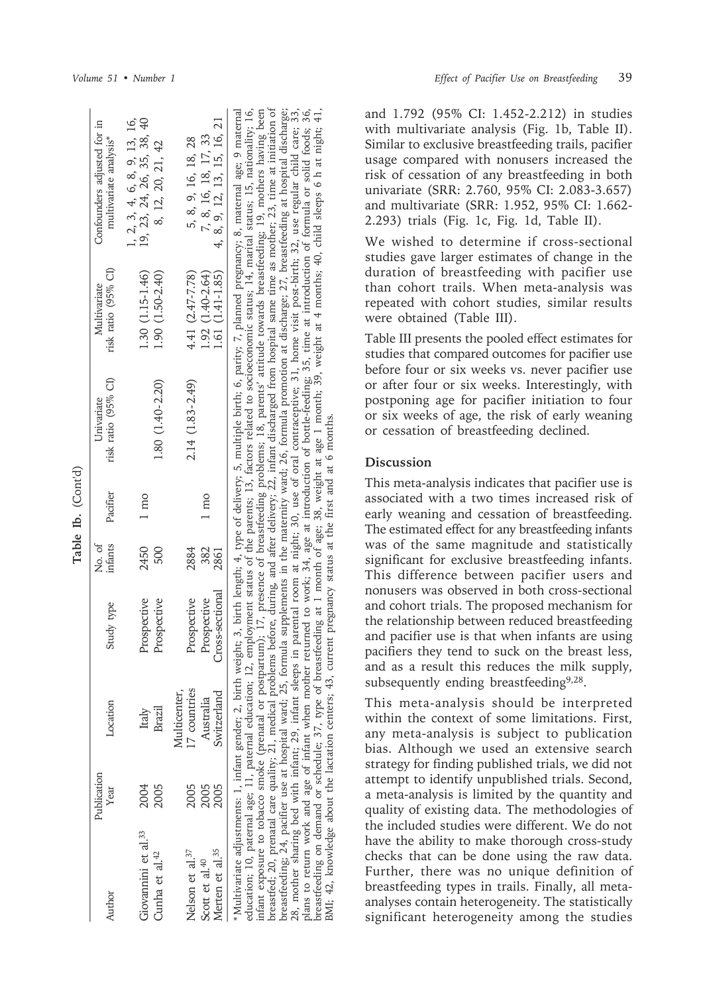|                                                                                                                                                                                                                             |                      |                                                          |                                               |                     | Table Ib. (Cont'd) |                                   |                                                          |                                                                                                                                                                                                                                                                                                                                                                                                                                                                                                                                                                                                                                                                                                                                                                                                                                                                                                                                                                                                                                                                                                                                                                                                                                                                                                                                                   |
|-----------------------------------------------------------------------------------------------------------------------------------------------------------------------------------------------------------------------------|----------------------|----------------------------------------------------------|-----------------------------------------------|---------------------|--------------------|-----------------------------------|----------------------------------------------------------|---------------------------------------------------------------------------------------------------------------------------------------------------------------------------------------------------------------------------------------------------------------------------------------------------------------------------------------------------------------------------------------------------------------------------------------------------------------------------------------------------------------------------------------------------------------------------------------------------------------------------------------------------------------------------------------------------------------------------------------------------------------------------------------------------------------------------------------------------------------------------------------------------------------------------------------------------------------------------------------------------------------------------------------------------------------------------------------------------------------------------------------------------------------------------------------------------------------------------------------------------------------------------------------------------------------------------------------------------|
| Author                                                                                                                                                                                                                      | Publication<br>Year  | Location                                                 | Study type                                    | No. of<br>infants   | Pacifier           | risk ratio (95% CI)<br>Univariate | risk ratio (95% Cl)<br>Multivariate                      | Confounders adjusted for in<br>multivariate analysis*                                                                                                                                                                                                                                                                                                                                                                                                                                                                                                                                                                                                                                                                                                                                                                                                                                                                                                                                                                                                                                                                                                                                                                                                                                                                                             |
| Giovannini et al. <sup>33</sup><br>Cunha et al. <sup>42</sup>                                                                                                                                                               | 2004<br>2005         | Brazil<br>Italy                                          | Prospective<br>Prospective                    | 2450                | $1 \text{ mo}$     | 1.80 (1.40-2.20)                  | 1.30 (1.15-1.46)<br>1.90 (1.50-2.40)                     | 1, 2, 3, 4, 6, 8, 9, 13, 16, 19, 23, 24, 26, 35, 38, 40<br>8, 12, 20, 21, 42                                                                                                                                                                                                                                                                                                                                                                                                                                                                                                                                                                                                                                                                                                                                                                                                                                                                                                                                                                                                                                                                                                                                                                                                                                                                      |
| Merten et al. <sup>35</sup><br>Nelson et al. <sup>37</sup><br>Scott et al. <sup>40</sup>                                                                                                                                    | 2005<br>2005<br>2005 | 17 countries<br>Multicenter,<br>Switzerland<br>Australia | Cross-sectional<br>Prospective<br>Prospective | 2884<br>382<br>2861 | $\frac{1}{2}$      | 2.14 (1.83-2.49)                  | 4.41 (2.47-7.78)<br>1.92 (1.40-2.64)<br>1.61 (1.41-1.85) | 4, 8, 9, 12, 13, 15, 16, 21<br>7, 8, 16, 18, 17, 33<br>5, 8, 9, 16, 18, 28                                                                                                                                                                                                                                                                                                                                                                                                                                                                                                                                                                                                                                                                                                                                                                                                                                                                                                                                                                                                                                                                                                                                                                                                                                                                        |
| BMI; 42, knowledge about the lactation centers; 43, current pregnancy status at the first and at 6 months.<br>*Multivariate adjustments: 1, infant gender; 2, birth<br>education; 10, paternal age; 11, paternal education; |                      |                                                          |                                               |                     |                    |                                   |                                                          | breastfed; 20, prenatal care quality; 21, medical problems before, during, and after delivery; 22, infant discharged from hospital same time as mother; 23, time at initiation of<br>breastfeeding; 24, pacifier use at hospital ward; 25, formula supplements in the maternity ward; 26, formula promotion at discharge; 27, breastfeeding at hospital discharge;<br>infant exposure to tobacco smoke (prenatal or postpartum); 17, presence of breastfeeding problems; 18, parents' attitude towards breastfeeding; 19, mothers having been<br>weight; 3, birth length; 4, type of delivery; 5, multiple birth; 6, parity; 7, planned pregnancy; 8, maternal age; 9 maternal<br>12, employment status of the parents; 13, factors related to socioeconomic status; 14, marital status; 15, nationality; 16,<br>28, mother sharing bed with infant; 29, infant sleeps in parental room at night; 30, use of oral contraceptive; 31, home visit post-birth; 32, use regular child care; 33,<br>plans to return work and age of infant when mother returned to work; 34, age at introduction of bottle-feeding; 35, time at introduction of formula or solid foods; 36,<br>breastfeeding on demand or schedule; 37, type of breastfeeding at 1 month of age; 38, weight at age 1 month; 39, weight at 4 months; 40, child sleeps 6 h at night; 41, |

and 1.792 (95% CI: 1.452-2.212) in studies with multivariate analysis (Fig. 1b, Table II). Similar to exclusive breastfeeding trails, pacifier usage compared with nonusers increased the risk of cessation of any breastfeeding in both univariate (SRR: 2.760, 95% CI: 2.083-3.657) and multivariate (SRR: 1.952, 95% CI: 1.662- 2.293) trials (Fig. 1c, Fig. 1d, Table II).

We wished to determine if cross-sectional studies gave larger estimates of change in the duration of breastfeeding with pacifier use than cohort trails. When meta-analysis was repeated with cohort studies, similar results were obtained (Table III).

Table III presents the pooled effect estimates for studies that compared outcomes for pacifier use before four or six weeks vs. never pacifier use or after four or six weeks. Interestingly, with postponing age for pacifier initiation to four or six weeks of age, the risk of early weaning or cessation of breastfeeding declined.

### **Discussion**

This meta-analysis indicates that pacifier use is associated with a two times increased risk of early weaning and cessation of breastfeeding. The estimated effect for any breastfeeding infants was of the same magnitude and statistically significant for exclusive breastfeeding infants. This difference between pacifier users and nonusers was observed in both cross-sectional and cohort trials. The proposed mechanism for the relationship between reduced breastfeeding and pacifier use is that when infants are using pacifiers they tend to suck on the breast less, and as a result this reduces the milk supply, subsequently ending breastfeeding<sup>9,28</sup>.

This meta-analysis should be interpreted within the context of some limitations. First, any meta-analysis is subject to publication bias. Although we used an extensive search strategy for finding published trials, we did not attempt to identify unpublished trials. Second, a meta-analysis is limited by the quantity and quality of existing data. The methodologies of the included studies were different. We do not have the ability to make thorough cross-study checks that can be done using the raw data. Further, there was no unique definition of breastfeeding types in trails. Finally, all metaanalyses contain heterogeneity. The statistically significant heterogeneity among the studies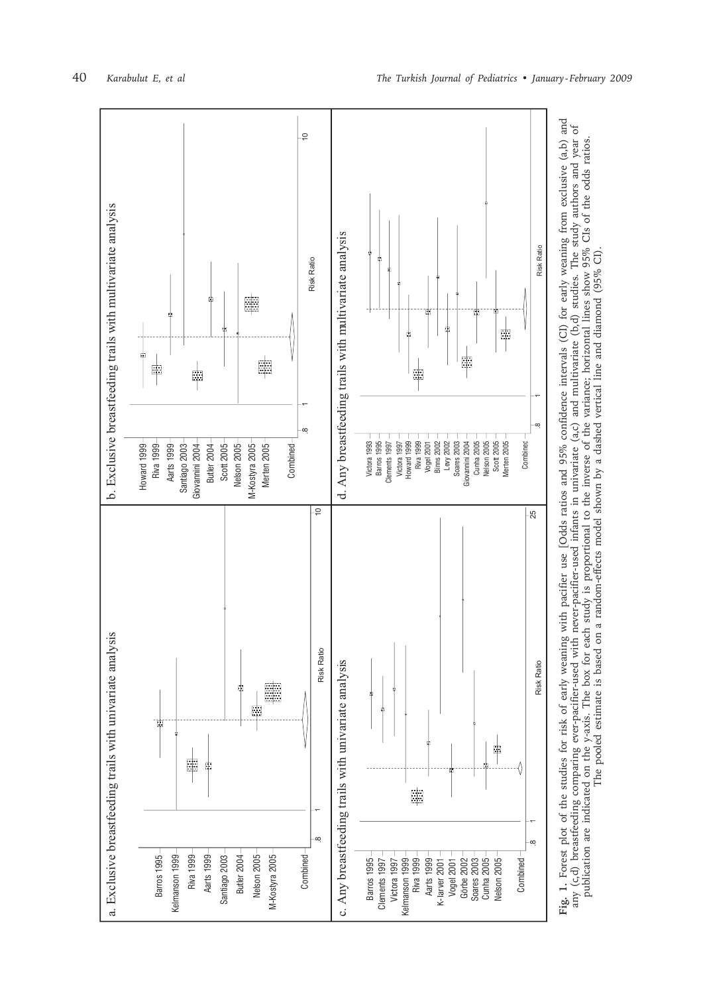

Fig. 1. Forest plot of the studies for risk of early weaning with pacifier use [Odds ratios and 95% confidence intervals (CI) for early weaning from exclusive (a,b) and<br>any (c,d) breastfeeding comparing ever-pacifier-used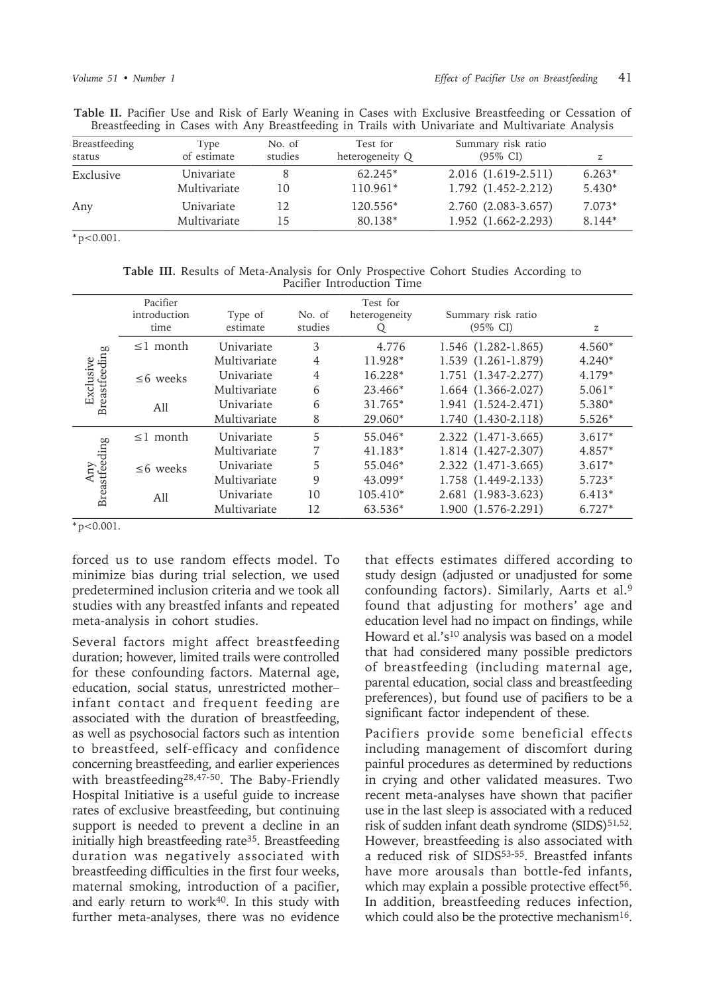**Table II.** Pacifier Use and Risk of Early Weaning in Cases with Exclusive Breastfeeding or Cessation of Breastfeeding in Cases with Any Breastfeeding in Trails with Univariate and Multivariate Analysis

| Breastfeeding | Type         | No. of  | Test for        | Summary risk ratio     | z        |
|---------------|--------------|---------|-----------------|------------------------|----------|
| status        | of estimate  | studies | heterogeneity Q | $(95\% \text{ CI})$    |          |
| Exclusive     | Univariate   | 8       | $62.245*$       | 2.016 (1.619-2.511)    | $6.263*$ |
|               | Multivariate | 10      | $110.961*$      | $1.792(1.452 - 2.212)$ | $5.430*$ |
| Any           | Univariate   | 12      | 120.556*        | 2.760 (2.083-3.657)    | $7.073*$ |
|               | Multivariate | 15      | 80.138*         | 1.952 (1.662-2.293)    | 8.144*   |

 $* p < 0.001$ .

**Table III.** Results of Meta-Analysis for Only Prospective Cohort Studies According to Pacifier Introduction Time

|                      | Pacifier<br>introduction<br>time | Type of<br>estimate | No. of<br>studies | Test for<br>heterogeneity | Summary risk ratio<br>$(95\% \text{ CI})$ | $\mathcal{Z}$ |
|----------------------|----------------------------------|---------------------|-------------------|---------------------------|-------------------------------------------|---------------|
|                      | $\leq 1$ month                   | Univariate          | 3                 | 4.776                     | $1.546$ $(1.282 - 1.865)$                 | $4.560*$      |
| Breastfeeding        |                                  | Multivariate        | $\overline{4}$    | 11.928*                   | 1.539 (1.261-1.879)                       | $4.240*$      |
| Exclusive            | $\leq$ 6 weeks                   | Univariate          | 4                 | $16.228*$                 | 1.751 (1.347-2.277)                       | $4.179*$      |
|                      |                                  | Multivariate        | 6                 | 23.466*                   | 1.664 (1.366-2.027)                       | $5.061*$      |
|                      | All                              | Univariate          | 6                 | 31.765*                   | $1.941(1.524-2.471)$                      | 5.380*        |
|                      |                                  | Multivariate        | 8                 | 29.060*                   | 1.740 (1.430-2.118)                       | $5.526*$      |
|                      | $\leq 1$ month                   | Univariate          | 5                 | $55.046*$                 | 2.322 (1.471-3.665)                       | $3.617*$      |
|                      |                                  | Multivariate        | 7                 | $41.183*$                 | 1.814 (1.427-2.307)                       | $4.857*$      |
| Breastfeeding<br>Any | $\leq$ 6 weeks                   | Univariate          | 5                 | 55.046*                   | 2.322 (1.471-3.665)                       | $3.617*$      |
|                      |                                  | Multivariate        | 9                 | $43.099*$                 | 1.758 (1.449-2.133)                       | $5.723*$      |
|                      | All                              | Univariate          | 10                | 105.410*                  | 2.681 (1.983-3.623)                       | $6.413*$      |
|                      |                                  | Multivariate        | 12                | 63.536*                   | 1.900 (1.576-2.291)                       | $6.727*$      |

 $* p < 0.001$ .

forced us to use random effects model. To minimize bias during trial selection, we used predetermined inclusion criteria and we took all studies with any breastfed infants and repeated meta-analysis in cohort studies.

Several factors might affect breastfeeding duration; however, limited trails were controlled for these confounding factors. Maternal age, education, social status, unrestricted mother– infant contact and frequent feeding are associated with the duration of breastfeeding, as well as psychosocial factors such as intention to breastfeed, self-efficacy and confidence concerning breastfeeding, and earlier experiences with breastfeeding<sup>28,47-50</sup>. The Baby-Friendly Hospital Initiative is a useful guide to increase rates of exclusive breastfeeding, but continuing support is needed to prevent a decline in an initially high breastfeeding rate<sup>35</sup>. Breastfeeding duration was negatively associated with breastfeeding difficulties in the first four weeks, maternal smoking, introduction of a pacifier, and early return to work $40$ . In this study with further meta-analyses, there was no evidence

that effects estimates differed according to study design (adjusted or unadjusted for some confounding factors). Similarly, Aarts et al.9 found that adjusting for mothers' age and education level had no impact on findings, while Howard et al.'s<sup>10</sup> analysis was based on a model that had considered many possible predictors of breastfeeding (including maternal age, parental education, social class and breastfeeding preferences), but found use of pacifiers to be a significant factor independent of these.

Pacifiers provide some beneficial effects including management of discomfort during painful procedures as determined by reductions in crying and other validated measures. Two recent meta-analyses have shown that pacifier use in the last sleep is associated with a reduced risk of sudden infant death syndrome  $(SIDS)^{51,52}$ . However, breastfeeding is also associated with a reduced risk of SIDS<sup>53-55</sup>. Breastfed infants have more arousals than bottle-fed infants, which may explain a possible protective effect<sup>56</sup>. In addition, breastfeeding reduces infection, which could also be the protective mechanism<sup>16</sup>.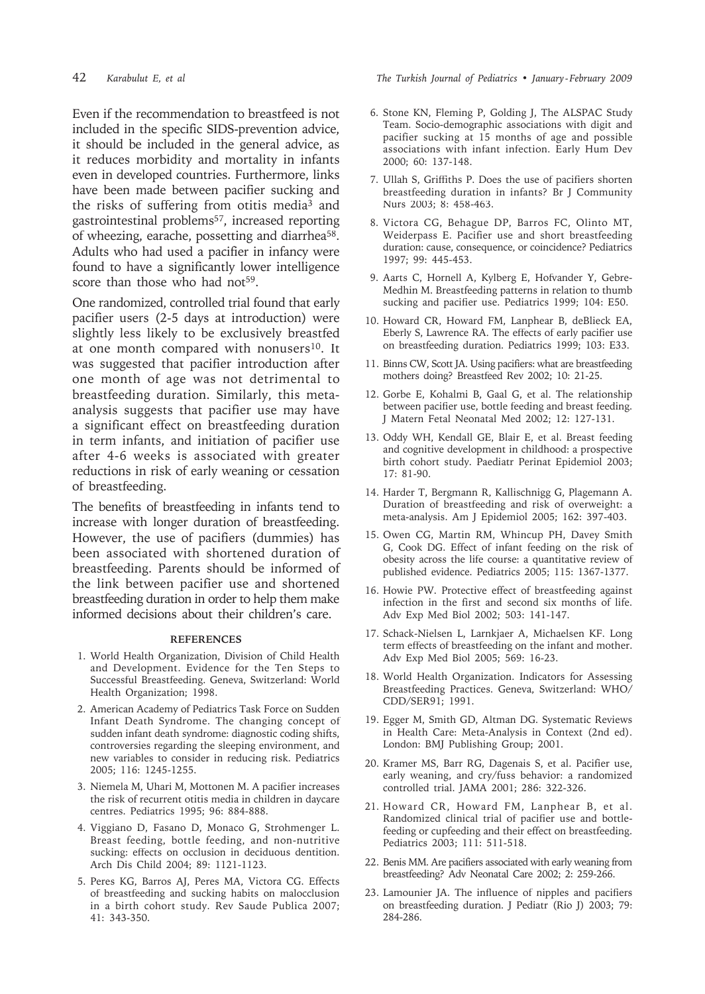Even if the recommendation to breastfeed is not included in the specific SIDS-prevention advice, it should be included in the general advice, as it reduces morbidity and mortality in infants even in developed countries. Furthermore, links have been made between pacifier sucking and the risks of suffering from otitis media3 and gastrointestinal problems57, increased reporting of wheezing, earache, possetting and diarrhea58. Adults who had used a pacifier in infancy were found to have a significantly lower intelligence score than those who had not<sup>59</sup>.

One randomized, controlled trial found that early pacifier users (2-5 days at introduction) were slightly less likely to be exclusively breastfed at one month compared with nonusers<sup>10</sup>. It was suggested that pacifier introduction after one month of age was not detrimental to breastfeeding duration. Similarly, this metaanalysis suggests that pacifier use may have a significant effect on breastfeeding duration in term infants, and initiation of pacifier use after 4-6 weeks is associated with greater reductions in risk of early weaning or cessation of breastfeeding.

The benefits of breastfeeding in infants tend to increase with longer duration of breastfeeding. However, the use of pacifiers (dummies) has been associated with shortened duration of breastfeeding. Parents should be informed of the link between pacifier use and shortened breastfeeding duration in order to help them make informed decisions about their children's care.

#### **REFERENCES**

- 1. World Health Organization, Division of Child Health and Development. Evidence for the Ten Steps to Successful Breastfeeding. Geneva, Switzerland: World Health Organization; 1998.
- 2. American Academy of Pediatrics Task Force on Sudden Infant Death Syndrome. The changing concept of sudden infant death syndrome: diagnostic coding shifts, controversies regarding the sleeping environment, and new variables to consider in reducing risk. Pediatrics 2005; 116: 1245-1255.
- 3. Niemela M, Uhari M, Mottonen M. A pacifier increases the risk of recurrent otitis media in children in daycare centres. Pediatrics 1995; 96: 884-888.
- 4. Viggiano D, Fasano D, Monaco G, Strohmenger L. Breast feeding, bottle feeding, and non-nutritive sucking: effects on occlusion in deciduous dentition. Arch Dis Child 2004; 89: 1121-1123.
- 5. Peres KG, Barros AJ, Peres MA, Victora CG. Effects of breastfeeding and sucking habits on malocclusion in a birth cohort study. Rev Saude Publica 2007; 41: 343-350.

42 *Karabulut E, et al The Turkish Journal of Pediatrics • January - February 2009*

- 6. Stone KN, Fleming P, Golding J, The ALSPAC Study Team. Socio-demographic associations with digit and pacifier sucking at 15 months of age and possible associations with infant infection. Early Hum Dev 2000; 60: 137-148.
- 7. Ullah S, Griffiths P. Does the use of pacifiers shorten breastfeeding duration in infants? Br J Community Nurs 2003; 8: 458-463.
- 8. Victora CG, Behague DP, Barros FC, Olinto MT, Weiderpass E. Pacifier use and short breastfeeding duration: cause, consequence, or coincidence? Pediatrics 1997; 99: 445-453.
- 9. Aarts C, Hornell A, Kylberg E, Hofvander Y, Gebre-Medhin M. Breastfeeding patterns in relation to thumb sucking and pacifier use. Pediatrics 1999; 104: E50.
- 10. Howard CR, Howard FM, Lanphear B, deBlieck EA, Eberly S, Lawrence RA. The effects of early pacifier use on breastfeeding duration. Pediatrics 1999; 103: E33.
- 11. Binns CW, Scott JA. Using pacifiers: what are breastfeeding mothers doing? Breastfeed Rev 2002; 10: 21-25.
- 12. Gorbe E, Kohalmi B, Gaal G, et al. The relationship between pacifier use, bottle feeding and breast feeding. J Matern Fetal Neonatal Med 2002; 12: 127-131.
- 13. Oddy WH, Kendall GE, Blair E, et al. Breast feeding and cognitive development in childhood: a prospective birth cohort study. Paediatr Perinat Epidemiol 2003; 17: 81-90.
- 14. Harder T, Bergmann R, Kallischnigg G, Plagemann A. Duration of breastfeeding and risk of overweight: a meta-analysis. Am J Epidemiol 2005; 162: 397-403.
- 15. Owen CG, Martin RM, Whincup PH, Davey Smith G, Cook DG. Effect of infant feeding on the risk of obesity across the life course: a quantitative review of published evidence. Pediatrics 2005; 115: 1367-1377.
- 16. Howie PW. Protective effect of breastfeeding against infection in the first and second six months of life. Adv Exp Med Biol 2002; 503: 141-147.
- 17. Schack-Nielsen L, Larnkjaer A, Michaelsen KF. Long term effects of breastfeeding on the infant and mother. Adv Exp Med Biol 2005; 569: 16-23.
- 18. World Health Organization. Indicators for Assessing Breastfeeding Practices. Geneva, Switzerland: WHO/ CDD/SER91; 1991.
- 19. Egger M, Smith GD, Altman DG. Systematic Reviews in Health Care: Meta-Analysis in Context (2nd ed). London: BMJ Publishing Group; 2001.
- 20. Kramer MS, Barr RG, Dagenais S, et al. Pacifier use, early weaning, and cry/fuss behavior: a randomized controlled trial. JAMA 2001; 286: 322-326.
- 21. Howard CR, Howard FM, Lanphear B, et al. Randomized clinical trial of pacifier use and bottlefeeding or cupfeeding and their effect on breastfeeding. Pediatrics 2003; 111: 511-518.
- 22. Benis MM. Are pacifiers associated with early weaning from breastfeeding? Adv Neonatal Care 2002; 2: 259-266.
- 23. Lamounier JA. The influence of nipples and pacifiers on breastfeeding duration. J Pediatr (Rio J) 2003; 79: 284-286.